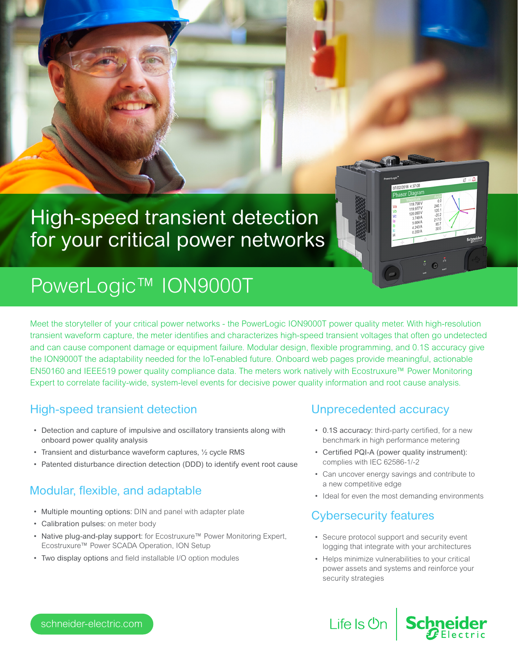# High-speed transient detection for your critical power networks

# PowerLogic™ ION9000T

Meet the storyteller of your critical power networks - the PowerLogic ION9000T power quality meter. With high-resolution transient waveform capture, the meter identifies and characterizes high-speed transient voltages that often go undetected and can cause component damage or equipment failure. Modular design, flexible programming, and 0.1S accuracy give the ION9000T the adaptability needed for the IoT-enabled future. Onboard web pages provide meaningful, actionable EN50160 and IEEE519 power quality compliance data. The meters work natively with Ecostruxure™ Power Monitoring Expert to correlate facility-wide, system-level events for decisive power quality information and root cause analysis.

## High-speed transient detection

- Detection and capture of impulsive and oscillatory transients along with onboard power quality analysis
- Transient and disturbance waveform captures, ½ cycle RMS
- Patented disturbance direction detection (DDD) to identify event root cause

## Modular, flexible, and adaptable

- Multiple mounting options: DIN and panel with adapter plate
- Calibration pulses: on meter body
- Native plug-and-play support: for Ecostruxure™ Power Monitoring Expert, Ecostruxure™ Power SCADA Operation, ION Setup
- Two display options and field installable I/O option modules

### Unprecedented accuracy

• 0.1S accuracy: third-party certified, for a new benchmark in high performance metering

2018 4:37:08

- Certified PQI-A (power quality instrument): complies with IEC 62586-1/-2
- Can uncover energy savings and contribute to a new competitive edge
- Ideal for even the most demanding environments

## Cybersecurity features

- Secure protocol support and security event logging that integrate with your architectures
- Helps minimize vulnerabilities to your critical power assets and systems and reinforce your security strategies

schneider-electric.com

Life Is  $\Diamond$ n | Schn